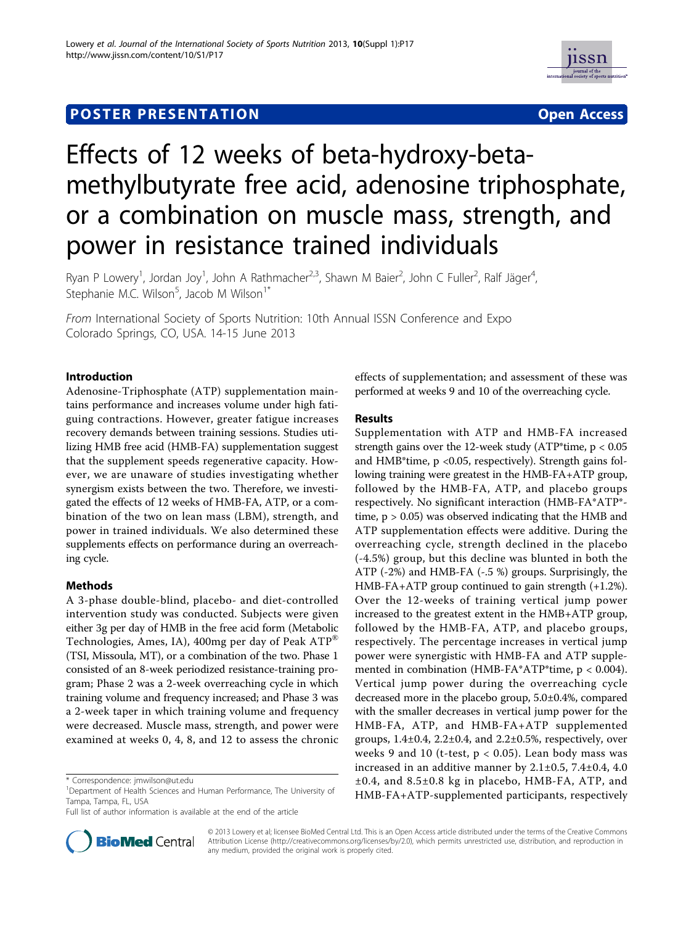## **POSTER PRESENTATION CONSUMING THE SERVICE SERVICE SERVICES**



# Effects of 12 weeks of beta-hydroxy-betamethylbutyrate free acid, adenosine triphosphate, or a combination on muscle mass, strength, and power in resistance trained individuals

Ryan P Lowery<sup>1</sup>, Jordan Joy<sup>1</sup>, John A Rathmacher<sup>2,3</sup>, Shawn M Baier<sup>2</sup>, John C Fuller<sup>2</sup>, Ralf Jäger<sup>4</sup> , Stephanie M.C. Wilson<sup>5</sup>, Jacob M Wilson<sup>1\*</sup>

From International Society of Sports Nutrition: 10th Annual ISSN Conference and Expo Colorado Springs, CO, USA. 14-15 June 2013

#### Introduction

Adenosine-Triphosphate (ATP) supplementation maintains performance and increases volume under high fatiguing contractions. However, greater fatigue increases recovery demands between training sessions. Studies utilizing HMB free acid (HMB-FA) supplementation suggest that the supplement speeds regenerative capacity. However, we are unaware of studies investigating whether synergism exists between the two. Therefore, we investigated the effects of 12 weeks of HMB-FA, ATP, or a combination of the two on lean mass (LBM), strength, and power in trained individuals. We also determined these supplements effects on performance during an overreaching cycle.

### Methods

A 3-phase double-blind, placebo- and diet-controlled intervention study was conducted. Subjects were given either 3g per day of HMB in the free acid form (Metabolic Technologies, Ames, IA), 400mg per day of Peak ATP® (TSI, Missoula, MT), or a combination of the two. Phase 1 consisted of an 8-week periodized resistance-training program; Phase 2 was a 2-week overreaching cycle in which training volume and frequency increased; and Phase 3 was a 2-week taper in which training volume and frequency were decreased. Muscle mass, strength, and power were examined at weeks 0, 4, 8, and 12 to assess the chronic

Full list of author information is available at the end of the article



effects of supplementation; and assessment of these was performed at weeks 9 and 10 of the overreaching cycle.

#### Results

Supplementation with ATP and HMB-FA increased strength gains over the 12-week study (ATP\*time,  $p < 0.05$ and HMB\*time, p <0.05, respectively). Strength gains following training were greatest in the HMB-FA+ATP group, followed by the HMB-FA, ATP, and placebo groups respectively. No significant interaction (HMB-FA\*ATP\* time,  $p > 0.05$ ) was observed indicating that the HMB and ATP supplementation effects were additive. During the overreaching cycle, strength declined in the placebo (-4.5%) group, but this decline was blunted in both the ATP (-2%) and HMB-FA (-.5 %) groups. Surprisingly, the HMB-FA+ATP group continued to gain strength (+1.2%). Over the 12-weeks of training vertical jump power increased to the greatest extent in the HMB+ATP group, followed by the HMB-FA, ATP, and placebo groups, respectively. The percentage increases in vertical jump power were synergistic with HMB-FA and ATP supplemented in combination (HMB-FA\*ATP\*time, p < 0.004). Vertical jump power during the overreaching cycle decreased more in the placebo group, 5.0±0.4%, compared with the smaller decreases in vertical jump power for the HMB-FA, ATP, and HMB-FA+ATP supplemented groups, 1.4±0.4, 2.2±0.4, and 2.2±0.5%, respectively, over weeks 9 and 10 (t-test,  $p < 0.05$ ). Lean body mass was increased in an additive manner by 2.1±0.5, 7.4±0.4, 4.0 ±0.4, and 8.5±0.8 kg in placebo, HMB-FA, ATP, and HMB-FA+ATP-supplemented participants, respectively

© 2013 Lowery et al; licensee BioMed Central Ltd. This is an Open Access article distributed under the terms of the Creative Commons Attribution License [\(http://creativecommons.org/licenses/by/2.0](http://creativecommons.org/licenses/by/2.0)), which permits unrestricted use, distribution, and reproduction in any medium, provided the original work is properly cited.

<sup>\*</sup> Correspondence: [jmwilson@ut.edu](mailto:jmwilson@ut.edu)

<sup>&</sup>lt;sup>1</sup>Department of Health Sciences and Human Performance, The University of Tampa, Tampa, FL, USA